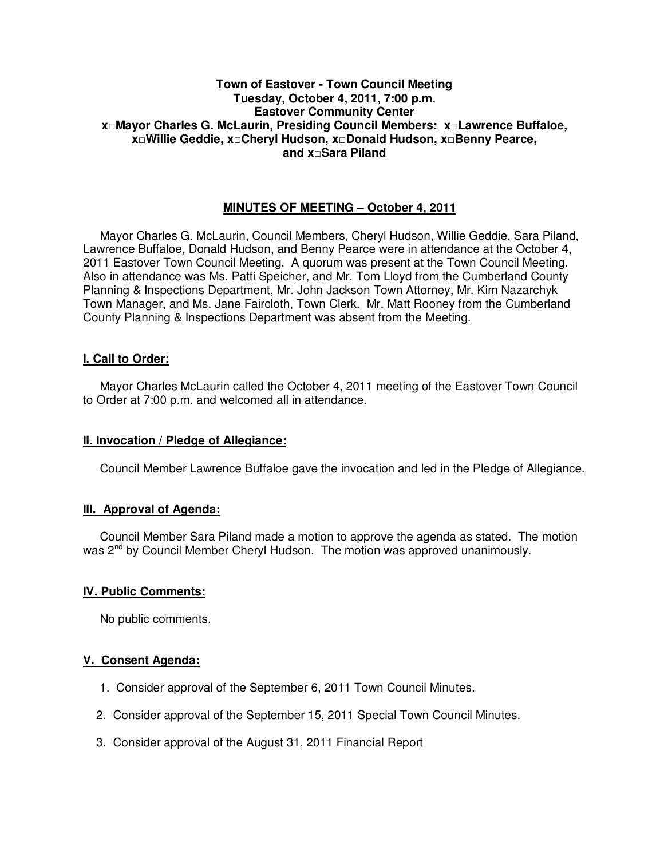## **Town of Eastover - Town Council Meeting Tuesday, October 4, 2011, 7:00 p.m. Eastover Community Center x□Mayor Charles G. McLaurin, Presiding Council Members: x□Lawrence Buffaloe, x□Willie Geddie, x□Cheryl Hudson, x□Donald Hudson, x□Benny Pearce, and x□Sara Piland**

# **MINUTES OF MEETING – October 4, 2011**

Mayor Charles G. McLaurin, Council Members, Cheryl Hudson, Willie Geddie, Sara Piland, Lawrence Buffaloe, Donald Hudson, and Benny Pearce were in attendance at the October 4, 2011 Eastover Town Council Meeting. A quorum was present at the Town Council Meeting. Also in attendance was Ms. Patti Speicher, and Mr. Tom Lloyd from the Cumberland County Planning & Inspections Department, Mr. John Jackson Town Attorney, Mr. Kim Nazarchyk Town Manager, and Ms. Jane Faircloth, Town Clerk. Mr. Matt Rooney from the Cumberland County Planning & Inspections Department was absent from the Meeting.

# **I. Call to Order:**

Mayor Charles McLaurin called the October 4, 2011 meeting of the Eastover Town Council to Order at 7:00 p.m. and welcomed all in attendance.

### **II. Invocation / Pledge of Allegiance:**

Council Member Lawrence Buffaloe gave the invocation and led in the Pledge of Allegiance.

# **III. Approval of Agenda:**

 Council Member Sara Piland made a motion to approve the agenda as stated. The motion was 2<sup>nd</sup> by Council Member Cheryl Hudson. The motion was approved unanimously.

# **IV. Public Comments:**

No public comments.

# **V. Consent Agenda:**

- 1. Consider approval of the September 6, 2011 Town Council Minutes.
- 2. Consider approval of the September 15, 2011 Special Town Council Minutes.
- 3. Consider approval of the August 31, 2011 Financial Report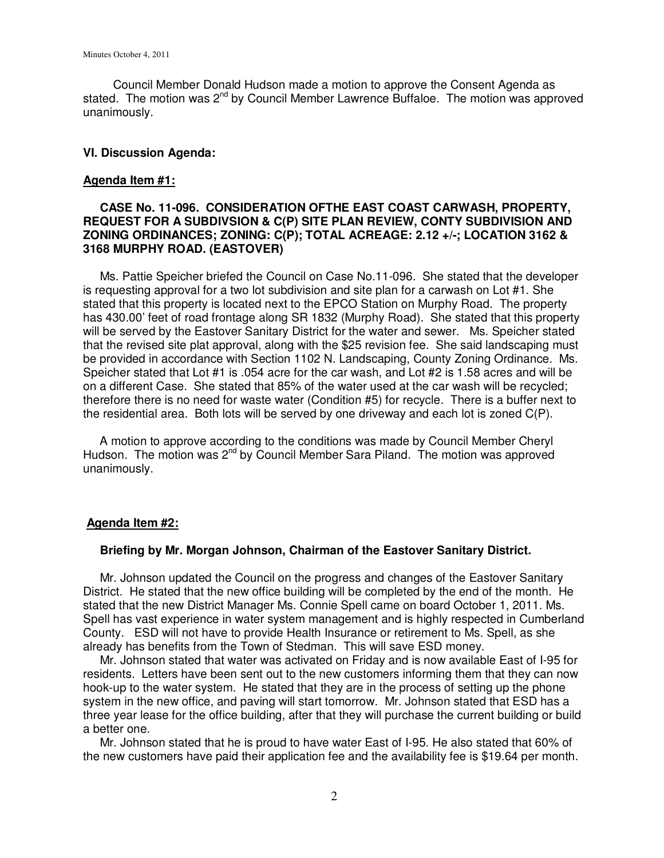Council Member Donald Hudson made a motion to approve the Consent Agenda as stated. The motion was  $2^{nd}$  by Council Member Lawrence Buffaloe. The motion was approved unanimously.

#### **VI. Discussion Agenda:**

#### **Agenda Item #1:**

### **CASE No. 11-096. CONSIDERATION OFTHE EAST COAST CARWASH, PROPERTY, REQUEST FOR A SUBDIVSION & C(P) SITE PLAN REVIEW, CONTY SUBDIVISION AND ZONING ORDINANCES; ZONING: C(P); TOTAL ACREAGE: 2.12 +/-; LOCATION 3162 & 3168 MURPHY ROAD. (EASTOVER)**

 Ms. Pattie Speicher briefed the Council on Case No.11-096. She stated that the developer is requesting approval for a two lot subdivision and site plan for a carwash on Lot #1. She stated that this property is located next to the EPCO Station on Murphy Road. The property has 430.00' feet of road frontage along SR 1832 (Murphy Road). She stated that this property will be served by the Eastover Sanitary District for the water and sewer. Ms. Speicher stated that the revised site plat approval, along with the \$25 revision fee. She said landscaping must be provided in accordance with Section 1102 N. Landscaping, County Zoning Ordinance. Ms. Speicher stated that Lot #1 is .054 acre for the car wash, and Lot #2 is 1.58 acres and will be on a different Case. She stated that 85% of the water used at the car wash will be recycled; therefore there is no need for waste water (Condition #5) for recycle. There is a buffer next to the residential area. Both lots will be served by one driveway and each lot is zoned C(P).

 A motion to approve according to the conditions was made by Council Member Cheryl Hudson. The motion was 2<sup>nd</sup> by Council Member Sara Piland. The motion was approved unanimously.

#### **Agenda Item #2:**

#### **Briefing by Mr. Morgan Johnson, Chairman of the Eastover Sanitary District.**

 Mr. Johnson updated the Council on the progress and changes of the Eastover Sanitary District. He stated that the new office building will be completed by the end of the month. He stated that the new District Manager Ms. Connie Spell came on board October 1, 2011. Ms. Spell has vast experience in water system management and is highly respected in Cumberland County. ESD will not have to provide Health Insurance or retirement to Ms. Spell, as she already has benefits from the Town of Stedman. This will save ESD money.

 Mr. Johnson stated that water was activated on Friday and is now available East of I-95 for residents. Letters have been sent out to the new customers informing them that they can now hook-up to the water system. He stated that they are in the process of setting up the phone system in the new office, and paving will start tomorrow. Mr. Johnson stated that ESD has a three year lease for the office building, after that they will purchase the current building or build a better one.

 Mr. Johnson stated that he is proud to have water East of I-95. He also stated that 60% of the new customers have paid their application fee and the availability fee is \$19.64 per month.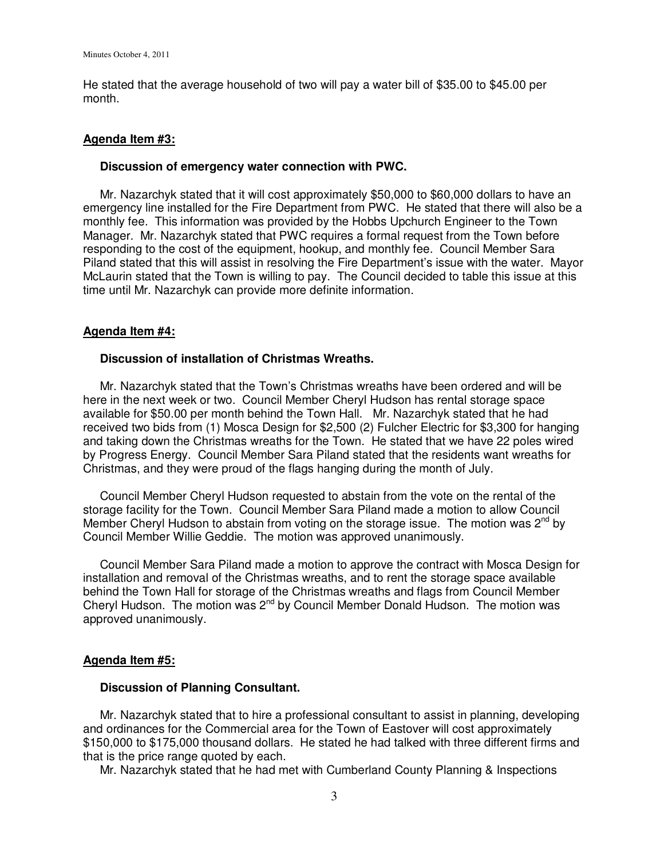He stated that the average household of two will pay a water bill of \$35.00 to \$45.00 per month.

#### **Agenda Item #3:**

#### **Discussion of emergency water connection with PWC.**

 Mr. Nazarchyk stated that it will cost approximately \$50,000 to \$60,000 dollars to have an emergency line installed for the Fire Department from PWC. He stated that there will also be a monthly fee. This information was provided by the Hobbs Upchurch Engineer to the Town Manager. Mr. Nazarchyk stated that PWC requires a formal request from the Town before responding to the cost of the equipment, hookup, and monthly fee. Council Member Sara Piland stated that this will assist in resolving the Fire Department's issue with the water. Mayor McLaurin stated that the Town is willing to pay. The Council decided to table this issue at this time until Mr. Nazarchyk can provide more definite information.

#### **Agenda Item #4:**

#### **Discussion of installation of Christmas Wreaths.**

 Mr. Nazarchyk stated that the Town's Christmas wreaths have been ordered and will be here in the next week or two. Council Member Cheryl Hudson has rental storage space available for \$50.00 per month behind the Town Hall. Mr. Nazarchyk stated that he had received two bids from (1) Mosca Design for \$2,500 (2) Fulcher Electric for \$3,300 for hanging and taking down the Christmas wreaths for the Town. He stated that we have 22 poles wired by Progress Energy. Council Member Sara Piland stated that the residents want wreaths for Christmas, and they were proud of the flags hanging during the month of July.

 Council Member Cheryl Hudson requested to abstain from the vote on the rental of the storage facility for the Town. Council Member Sara Piland made a motion to allow Council Member Cheryl Hudson to abstain from voting on the storage issue. The motion was  $2^{nd}$  by Council Member Willie Geddie. The motion was approved unanimously.

 Council Member Sara Piland made a motion to approve the contract with Mosca Design for installation and removal of the Christmas wreaths, and to rent the storage space available behind the Town Hall for storage of the Christmas wreaths and flags from Council Member Cheryl Hudson. The motion was  $2^{nd}$  by Council Member Donald Hudson. The motion was approved unanimously.

#### **Agenda Item #5:**

#### **Discussion of Planning Consultant.**

 Mr. Nazarchyk stated that to hire a professional consultant to assist in planning, developing and ordinances for the Commercial area for the Town of Eastover will cost approximately \$150,000 to \$175,000 thousand dollars. He stated he had talked with three different firms and that is the price range quoted by each.

Mr. Nazarchyk stated that he had met with Cumberland County Planning & Inspections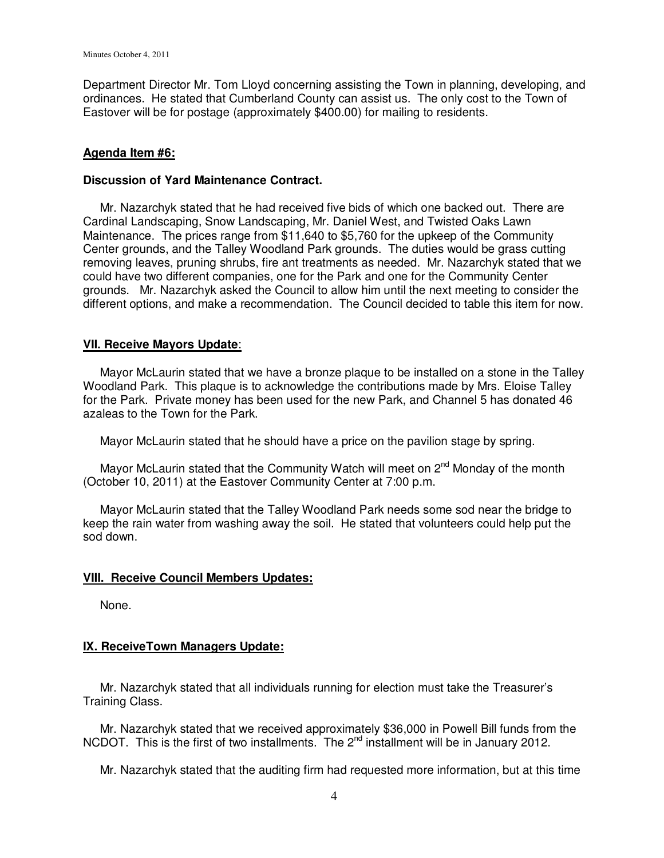Department Director Mr. Tom Lloyd concerning assisting the Town in planning, developing, and ordinances. He stated that Cumberland County can assist us. The only cost to the Town of Eastover will be for postage (approximately \$400.00) for mailing to residents.

### **Agenda Item #6:**

### **Discussion of Yard Maintenance Contract.**

 Mr. Nazarchyk stated that he had received five bids of which one backed out. There are Cardinal Landscaping, Snow Landscaping, Mr. Daniel West, and Twisted Oaks Lawn Maintenance. The prices range from \$11,640 to \$5,760 for the upkeep of the Community Center grounds, and the Talley Woodland Park grounds. The duties would be grass cutting removing leaves, pruning shrubs, fire ant treatments as needed. Mr. Nazarchyk stated that we could have two different companies, one for the Park and one for the Community Center grounds. Mr. Nazarchyk asked the Council to allow him until the next meeting to consider the different options, and make a recommendation. The Council decided to table this item for now.

## **VII. Receive Mayors Update**:

 Mayor McLaurin stated that we have a bronze plaque to be installed on a stone in the Talley Woodland Park. This plaque is to acknowledge the contributions made by Mrs. Eloise Talley for the Park. Private money has been used for the new Park, and Channel 5 has donated 46 azaleas to the Town for the Park.

Mayor McLaurin stated that he should have a price on the pavilion stage by spring.

Mayor McLaurin stated that the Community Watch will meet on  $2^{nd}$  Monday of the month (October 10, 2011) at the Eastover Community Center at 7:00 p.m.

 Mayor McLaurin stated that the Talley Woodland Park needs some sod near the bridge to keep the rain water from washing away the soil. He stated that volunteers could help put the sod down.

### **VIII. Receive Council Members Updates:**

None.

# **IX. ReceiveTown Managers Update:**

 Mr. Nazarchyk stated that all individuals running for election must take the Treasurer's Training Class.

 Mr. Nazarchyk stated that we received approximately \$36,000 in Powell Bill funds from the NCDOT. This is the first of two installments. The 2<sup>nd</sup> installment will be in January 2012.

Mr. Nazarchyk stated that the auditing firm had requested more information, but at this time